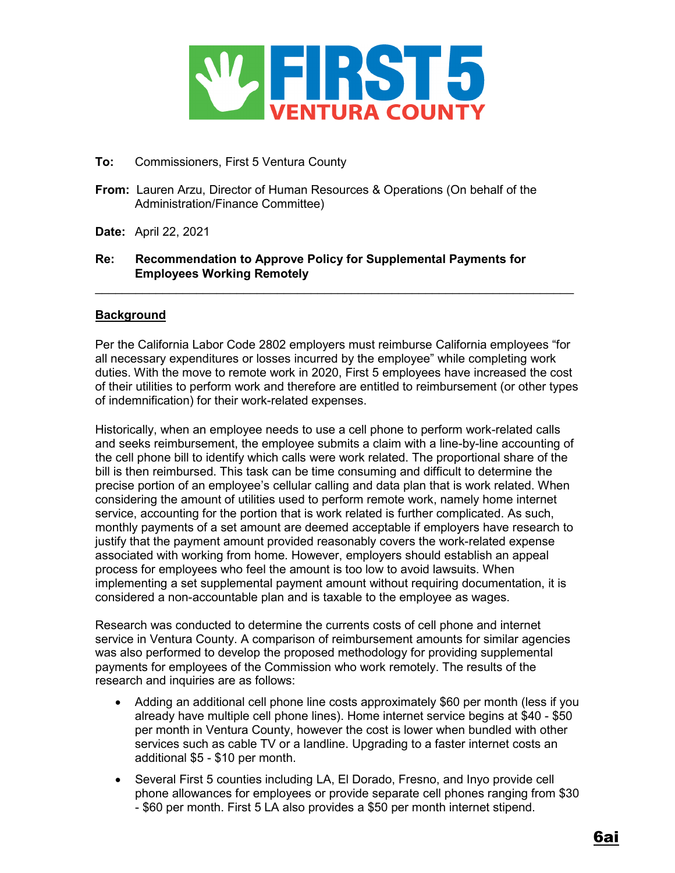

# **To:** Commissioners, First 5 Ventura County

- **From:** Lauren Arzu, Director of Human Resources & Operations (On behalf of the Administration/Finance Committee)
- **Date:** April 22, 2021

# **Re: Recommendation to Approve Policy for Supplemental Payments for Employees Working Remotely**

# **Background**

Per the California Labor Code 2802 employers must reimburse California employees "for all necessary expenditures or losses incurred by the employee" while completing work duties. With the move to remote work in 2020, First 5 employees have increased the cost of their utilities to perform work and therefore are entitled to reimbursement (or other types of indemnification) for their work-related expenses.

 $\_$  , and the set of the set of the set of the set of the set of the set of the set of the set of the set of the set of the set of the set of the set of the set of the set of the set of the set of the set of the set of th

Historically, when an employee needs to use a cell phone to perform work-related calls and seeks reimbursement, the employee submits a claim with a line-by-line accounting of the cell phone bill to identify which calls were work related. The proportional share of the bill is then reimbursed. This task can be time consuming and difficult to determine the precise portion of an employee's cellular calling and data plan that is work related. When considering the amount of utilities used to perform remote work, namely home internet service, accounting for the portion that is work related is further complicated. As such, monthly payments of a set amount are deemed acceptable if employers have research to justify that the payment amount provided reasonably covers the work-related expense associated with working from home. However, employers should establish an appeal process for employees who feel the amount is too low to avoid lawsuits. When implementing a set supplemental payment amount without requiring documentation, it is considered a non-accountable plan and is taxable to the employee as wages.

Research was conducted to determine the currents costs of cell phone and internet service in Ventura County. A comparison of reimbursement amounts for similar agencies was also performed to develop the proposed methodology for providing supplemental payments for employees of the Commission who work remotely. The results of the research and inquiries are as follows:

- Adding an additional cell phone line costs approximately \$60 per month (less if you already have multiple cell phone lines). Home internet service begins at \$40 - \$50 per month in Ventura County, however the cost is lower when bundled with other services such as cable TV or a landline. Upgrading to a faster internet costs an additional \$5 - \$10 per month.
- Several First 5 counties including LA, El Dorado, Fresno, and Inyo provide cell phone allowances for employees or provide separate cell phones ranging from \$30 - \$60 per month. First 5 LA also provides a \$50 per month internet stipend.